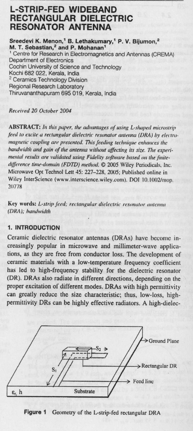# L-STRIP-**FED WIDEBAND** RECTANGULAR DIELECTRIC **RESONATOR ANTENNA**

**Sreedevi K. Menon** ,' **B. Lethakumary**,' **P. V. Bijumon,2 M. T. Sebastian** '**2 and P. Mohanan'** ' Centre for Research in Electromagnetics and Antennas (CREMA) Department of Electronics Cochin University of Science and Technology Kochi 682 022, Kerala, India <sup>2</sup> Ceramics Technology Division Regional Research Laboratory Thiruvananthapuram 695 019, Kerala, India

# Received 20 October 2004

ABSTRACT: In this paper, the advantages of using L-shaped microstrip feed to excite a rectangular dielectric resonator antenna (DRA) by electro*nagnetic coupling are presented. This feeding technique enhances the hardsvidth and gain ofthe antenna without affecting its size. The experi*mental results are validated using Fidelity software based on the finite*difference tine-domain (FDTD) method.* © 2005 Wiley Periodicals, Inc. Microwave Opt Technol Lett 45: 227-228, 2005; Published online in Wiley InterScience (www.interscience.wiley.com). DOI 10.1002/mop. 207/8

**Key words**: L-strip feed; rectangular dielectric resonator antenna (DRA); handwidth

# **1. INTRODUCTION**

Ceramic dielectric resonator antennas (DRAs) have become increasingly popular in microwave and millimeter-wave applications, as they are free from conductor loss. The development of ceramic materials with a low-temperature frequency coefficient has led to high-frequency stability for the dielectric resonator (DR). DRAs also radiate in different directions, depending on the proper excitation of different modes. DRAs with high permittivity can greatly reduce the size characteristic; thus, low-loss, highpermittivity DRs can be highly effective radiators. A high-dielec-



**Figure 1** Geometry of the L-strip-fed rectangular DRA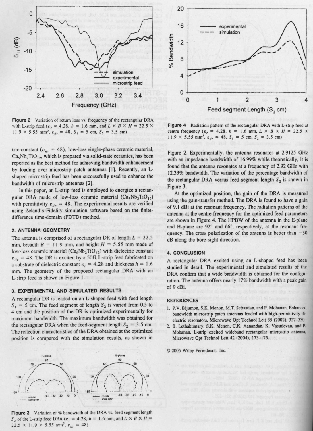

Figure 2 Variation of return loss vs. frequency of the rectangular DRA with L-strip feed ( $\varepsilon_r$  = 4.28,  $h = 1.6$  mm, and  $L \times B \times H = 22.5 \times$  $11.9 \times 5.55$  mm<sup>3</sup>,  $\varepsilon_{dr} = 48$ ,  $S_1 = 5$  cm,  $S_2 = 3.5$  cm)

tric-constant ( $\varepsilon_{dr}$  = 48), low-loss single-phase ceramic material,  $Ca<sub>5</sub>Nb<sub>2</sub>TiO<sub>12</sub>$ , which is prepared via solid-state ceramics, has been reported as the best method for achieving bandwidth enhancement by loading over microstrip patch antennas [1]. Recently, an Lshaped microstrip feed has been successfully used to enhance the bandwidth of microstrip **antennas [2].**

In this paper, an L-strip feed is employed to **energize** a rectangular DRA made of low-loss ceramic material  $(Ca_5Nb_2TiO_{12})$ with permittivity  $\varepsilon_{dr} = 48$ . The experimental results are verified using Zeland's Fidelity simulation software based on the finitedifference time-domain (FDTD) method.

# **2. ANTENNA GEOMETRY**

The antenna is comprised of a rectangular DR of length  $L = 22.5$ mm, breadth  $B = 11.9$  mm, and height  $H = 5.55$  mm made of low-loss ceramic material  $(Ca<sub>5</sub>Nb<sub>2</sub>TiO<sub>12</sub>)$  with dielectric constant  $\varepsilon_{dr}$  = 48. The DR is excited by a 50 $\Omega$  L-strip feed fabricated on a substrate of dielectric constant  $\varepsilon_r = 4.28$  and thickness  $h = 1.6$ mm. The geometry of the proposed rectangular DRA with an L-strip feed is shown in Figure 1.

# **3. EXPERIMENTAL AND SIMULATED RESULTS**

A rectangular DR is loaded on an L-shaped feed with feed length  $S_1 = 5$  cm. The feed segment of length  $S_2$  is varied from 0.5 to 4 cm and the position of the DR is optimized experimentally for maximum bandwidth. The maximum bandwidth was obtained for the rectangular DRA when the feed-segment length  $S_2 = 3.5$  cm. The reflection characteristics of the DRA obtained at the optimized position is compared with the simulation results, as shown in



Figure 3 Variation of % bandwidth of the DRA vs. feed segment length  $S_2$  of the L-strip feed DRA ( $\varepsilon_r$  = 4.28,  $h = 1.6$  mm, and  $L \times B \times H =$  $22.5 \times 11.9 \times 5.55$  mm<sup>3</sup>,  $\varepsilon_{dr} = 48$ )



**Figure 4** Radiation pattern of the rectangular DRA with L-strip feed at centre frequency ( $\varepsilon_r = 4.28$ ,  $h = 1.6$  mm,  $L \times B \times H = 22.5 \times$  $11.9 \times 5.55$  mm<sup>3</sup>,  $\varepsilon_{dr} = 48$ ,  $S_1 = 5$  cm,  $S_2 = 3.5$  cm)

Figure 2. Experimentally, the antenna resonates at 2.9125 GHz with an impedance bandwidth of 16.99% while theoretically, it is found that the antenna resonates at a frequency of 2.92 GHz with 12.33% bandwidth. The variation of the percentage bandwidth of the rectangular DRA versus feed-segment length  $S_2$  is shown in Figure 3.

At the optimized position, the gain of the DRA is measured using the gain-transfer method. The DRA is found to have a gain of 9.1 dBi at the resonant frequency. The radiation patterns of the antenna at the centre frequency for the optimized feed parameters are shown in Figure 4. The HPBW of the antenna in the E-plane and H-plane are 92° and 66°, respectively, at the resonant frequency. The cross polarization of the antenna is better than  $-30$ dB along the bore-sight direction.

#### **4. CONCLUSION**

A rectangular URA excited **using an** L-shaped feed has been studied **in detail**. The experimental and simulated results of the DRA confirm that a wide bandwidth is obtained for the configuration. The antenna offers nearly 17% bandwidth with a peak gain of 9 dBi.

#### REFERENCES

- 1. P.V. Bijumon, S.K. Menon, M.T. Sebastian, and P. Mohanan, Enhanced bandwidth microstrip patch antennas loaded with high-permittivity dielectric resonators, Microwave Opt Technol Lett 35 (2002), 327-330.
- 2. B. Lethakumary, S.K. Menon, C.K. Aanandan. K. Vasudevan, and P. Mohanan, L-strip excited widchand rectangular microstrip antenna, Microwave Opt Technol Lett 42 (2004), 173-175.

 $© 2005 Wiley Periodicals, Inc.$